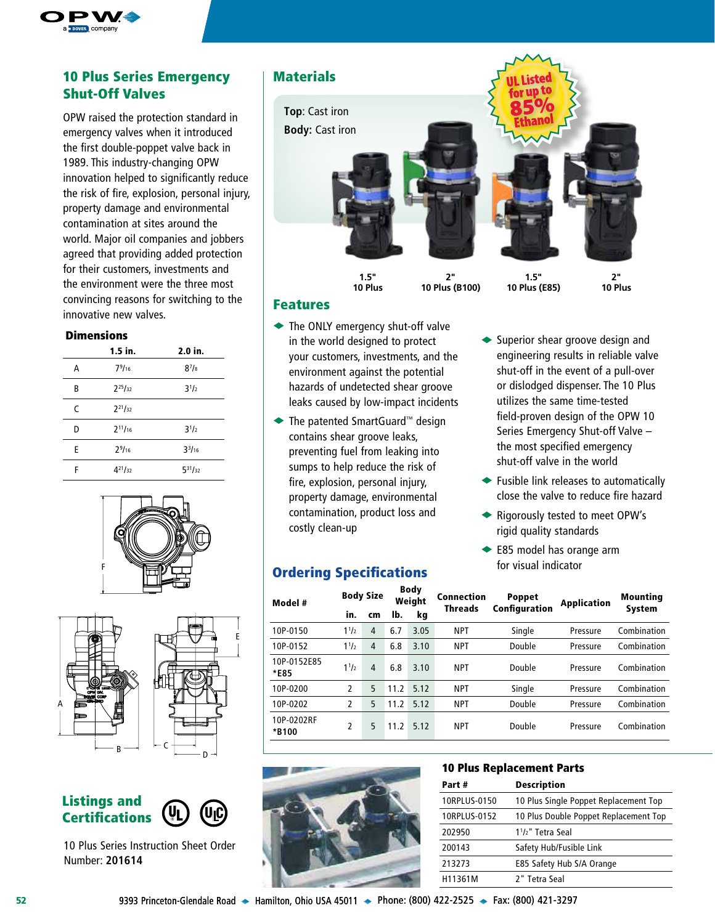

## 10 Plus Series Emergency | Materials Shut-Off Valves

OPW raised the protection standard in emergency valves when it introduced the first double-poppet valve back in 1989. This industry-changing OPW innovation helped to significantly reduce the risk of fire, explosion, personal injury, property damage and environmental contamination at sites around the world. Major oil companies and jobbers agreed that providing added protection for their customers, investments and the environment were the three most convincing reasons for switching to the innovative new valves.

#### Dimensions

|   | $1.5$ in.          | 2.0 in.        |
|---|--------------------|----------------|
| А | 79/16              | $8^{7}/8$      |
| B | $2^{25}/_{32}$     | $3^{1/2}$      |
| C | $2^{21}/_{32}$     |                |
| D | $2^{11}/_{16}$     | $3^{1/2}$      |
| E | 2 <sup>9</sup> /16 | $3^{3}/_{16}$  |
| F | $4^{21}/_{32}$     | $5^{31}/_{32}$ |







10 Plus Series Instruction Sheet Order Number: **201614**





## Features

- $\blacktriangleright$  The ONLY emergency shut-off valve in the world designed to protect your customers, investments, and the environment against the potential hazards of undetected shear groove leaks caused by low-impact incidents
- ◆ The patented SmartGuard™ design contains shear groove leaks, preventing fuel from leaking into sumps to help reduce the risk of fire, explosion, personal injury, property damage, environmental contamination, product loss and costly clean-up

## Ordering Specifications

| <b>Ordering Specifications</b> |                  |                |      |                       | for visual indicator         |                                |                    |                 |  |  |  |
|--------------------------------|------------------|----------------|------|-----------------------|------------------------------|--------------------------------|--------------------|-----------------|--|--|--|
| Model #                        | <b>Body Size</b> |                |      | <b>Body</b><br>Weight | Connection<br><b>Threads</b> | <b>Poppet</b><br>Configuration | <b>Application</b> | <b>Mounting</b> |  |  |  |
|                                | in.              | cm             | Ib.  | kg                    |                              |                                |                    | <b>System</b>   |  |  |  |
| 10P-0150                       | $1^{1/2}$        | 4              | 6.7  | 3.05                  | <b>NPT</b>                   | Single                         | Pressure           | Combination     |  |  |  |
| 10P-0152                       | $1^{1/2}$        | 4              | 6.8  | 3.10                  | <b>NPT</b>                   | Double                         | Pressure           | Combination     |  |  |  |
| 10P-0152E85<br>*E85            | $1^{1/2}$        | $\overline{4}$ | 6.8  | 3.10                  | <b>NPT</b>                   | Double                         | Pressure           | Combination     |  |  |  |
| 10P-0200                       | 2                | 5              | 11.2 | 5.12                  | <b>NPT</b>                   | Single                         | Pressure           | Combination     |  |  |  |
| 10P-0202                       | 2                | 5              | 11.2 | 5.12                  | <b>NPT</b>                   | Double                         | Pressure           | Combination     |  |  |  |
| 10P-0202RF<br>*B100            | 2                | 5              | 11.2 | 5.12                  | <b>NPT</b>                   | Double                         | Pressure           | Combination     |  |  |  |



## 10 Plus Replacement Parts

| Part#        | <b>Description</b>                         |
|--------------|--------------------------------------------|
| 10RPLUS-0150 | 10 Plus Single Poppet Replacement Top      |
| 10RPLUS-0152 | 10 Plus Double Poppet Replacement Top      |
| 202950       | 1 <sup>1</sup> / <sub>2</sub> " Tetra Seal |
| 200143       | Safety Hub/Fusible Link                    |
| 213273       | E85 Safety Hub S/A Orange                  |
| H11361M      | 2" Tetra Seal                              |

engineering results in reliable valve shut-off in the event of a pull-over or dislodged dispenser. The 10 Plus utilizes the same time-tested field-proven design of the OPW 10 Series Emergency Shut-off Valve – the most specified emergency shut-off valve in the world

 $\blacktriangleright$  Superior shear groove design and

- $\blacktriangleright$  Fusible link releases to automatically close the valve to reduce fire hazard
- ◆ Rigorously tested to meet OPW's rigid quality standards
- $\blacktriangleright$  E85 model has orange arm for visual indicator

**52** 9393 Princeton-Glendale Road → Hamilton, Ohio USA 45011 → Phone: (800) 422-2525 → Fax: (800) 421-3297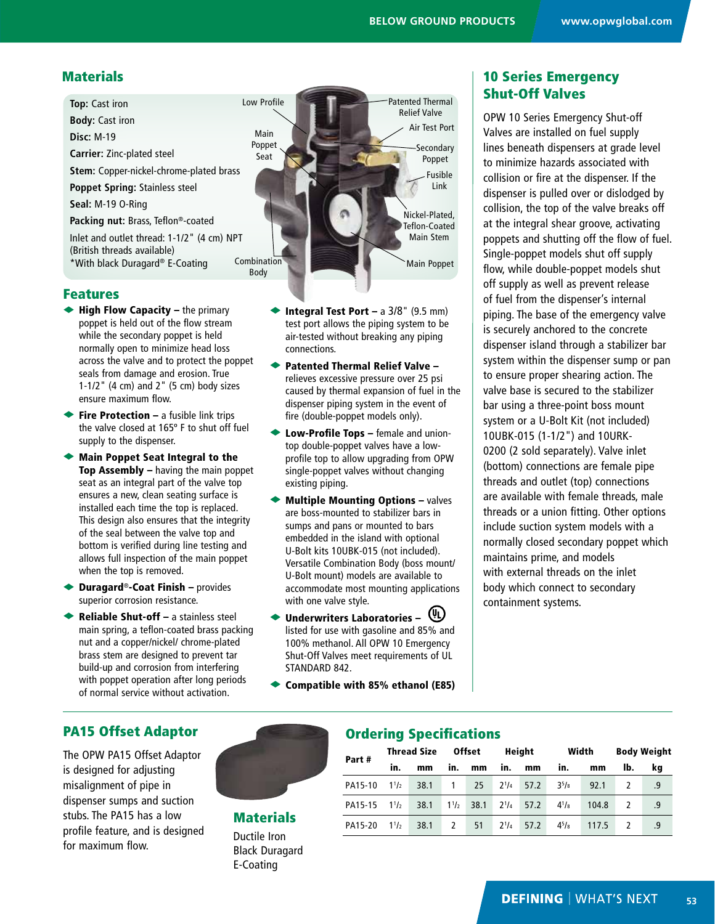Low Profile Main Poppet Seat **Combination Top:** Cast iron **Body:** Cast iron **Disc:** M-19 **Carrier:** Zinc-plated steel **Stem:** Copper-nickel-chrome-plated brass **Poppet Spring:** Stainless steel **Seal:** M-19 O-Ring **Packing nut:** Brass, Teflon®-coated Inlet and outlet thread: 1-1/2" (4 cm) NPT (British threads available) \*With black Duragard® E-Coating

#### Features

- $\blacktriangleright$  High Flow Capacity the primary poppet is held out of the flow stream while the secondary poppet is held normally open to minimize head loss across the valve and to protect the poppet seals from damage and erosion. True 1-1/2" (4 cm) and 2" (5 cm) body sizes ensure maximum flow.
- $\blacktriangleright$  Fire Protection a fusible link trips the valve closed at 165º F to shut off fuel supply to the dispenser.
- $\blacklozenge$  Main Poppet Seat Integral to the Top Assembly – having the main poppet seat as an integral part of the valve top ensures a new, clean seating surface is installed each time the top is replaced. This design also ensures that the integrity of the seal between the valve top and bottom is verified during line testing and allows full inspection of the main poppet when the top is removed.
- $\blacktriangleright$  Duragard®-Coat Finish provides superior corrosion resistance.
- Reliable Shut-off a stainless steel main spring, a teflon-coated brass packing nut and a copper/nickel/ chrome-plated brass stem are designed to prevent tar build-up and corrosion from interfering with poppet operation after long periods of normal service without activation.



- **Integral Test Port a 3/8" (9.5 mm)** test port allows the piping system to be air-tested without breaking any piping connections.
- $\blacktriangleright$  Patented Thermal Relief Valve relieves excessive pressure over 25 psi caused by thermal expansion of fuel in the dispenser piping system in the event of fire (double-poppet models only).
- $\blacktriangleright$  Low-Profile Tops female and uniontop double-poppet valves have a lowprofile top to allow upgrading from OPW single-poppet valves without changing existing piping.
- $\blacklozenge$  Multiple Mounting Options valves are boss-mounted to stabilizer bars in sumps and pans or mounted to bars embedded in the island with optional U-Bolt kits 10UBK-015 (not included). Versatile Combination Body (boss mount/ U-Bolt mount) models are available to accommodate most mounting applications with one valve style.
- $\blacklozenge$  Underwriters Laboratories  $(\Downarrow \downarrow)$ listed for use with gasoline and 85% and 100% methanol. All OPW 10 Emergency Shut-Off Valves meet requirements of UL STANDARD 842.
- $\blacktriangleright$  Compatible with 85% ethanol (E85)

Ordering Specifications

## Materials **10 Series Emergency** Shut-Off Valves

OPW 10 Series Emergency Shut-off Valves are installed on fuel supply lines beneath dispensers at grade level to minimize hazards associated with collision or fire at the dispenser. If the dispenser is pulled over or dislodged by collision, the top of the valve breaks off at the integral shear groove, activating poppets and shutting off the flow of fuel. Single-poppet models shut off supply flow, while double-poppet models shut off supply as well as prevent release of fuel from the dispenser's internal piping. The base of the emergency valve is securely anchored to the concrete dispenser island through a stabilizer bar system within the dispenser sump or pan to ensure proper shearing action. The valve base is secured to the stabilizer bar using a three-point boss mount system or a U-Bolt Kit (not included) 10UBK-015 (1-1/2") and 10URK-0200 (2 sold separately). Valve inlet (bottom) connections are female pipe threads and outlet (top) connections are available with female threads, male threads or a union fitting. Other options include suction system models with a normally closed secondary poppet which maintains prime, and models with external threads on the inlet body which connect to secondary containment systems.

## PA15 Offset Adaptor

The OPW PA15 Offset Adaptor is designed for adjusting misalignment of pipe in dispenser sumps and suction stubs. The PA15 has a low profile feature, and is designed for maximum flow.



# **Materials**

Ductile Iron Black Duragard E-Coating

| Part#   | <b>Thread Size</b> |      | <b>Offset</b> |                | Height    |                |           | Width | <b>Body Weight</b> |    |  |  |
|---------|--------------------|------|---------------|----------------|-----------|----------------|-----------|-------|--------------------|----|--|--|
|         | in.                | mm   | in.           | mm             | in.       | mm             | in.       | mm    | lb.                | ka |  |  |
| PA15-10 | $1^{1/2}$          | 38.1 | $\mathbf{1}$  | 25             |           | $2^{1}/4$ 57.2 | $3^{5}/8$ | 92.1  |                    | .9 |  |  |
| PA15-15 | $1^{1/2}$          | 38.1 |               | $1^{1}/2$ 38.1 | $2^{1/4}$ | 57.2           | $4^{1}/8$ | 104.8 |                    | .9 |  |  |
| PA15-20 | $1^{1/2}$          | 38.1 | $\mathcal{L}$ | 51             | $2^{1/4}$ | 57.2           | $4^{5}/8$ | 117.5 |                    | .9 |  |  |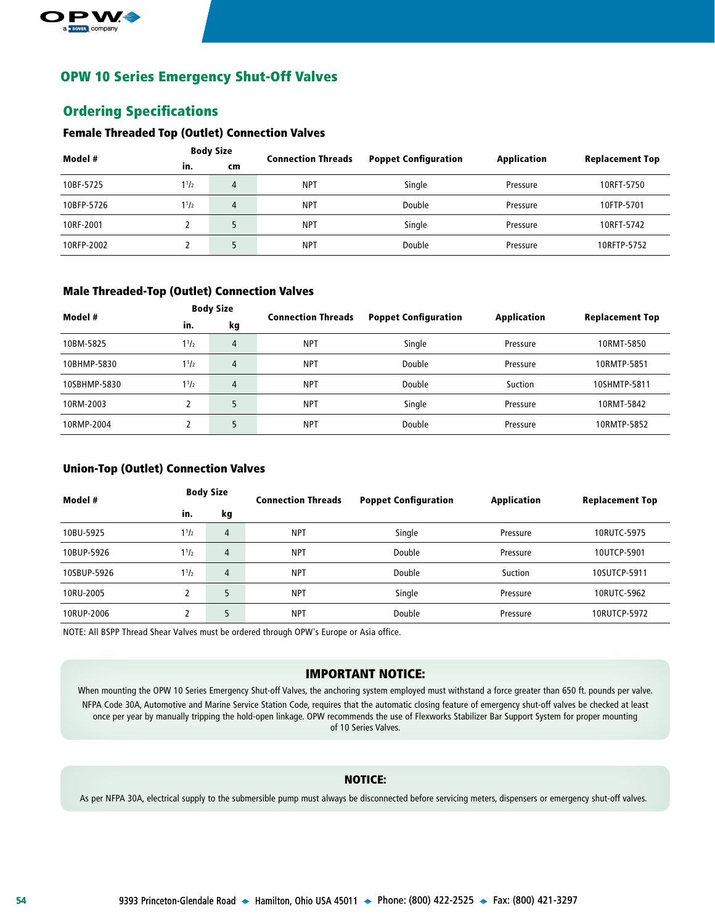

## OPW 10 Series Emergency Shut-Off Valves

## Ordering Specifications

#### Female Threaded Top (Outlet) Connection Valves

| Model #    | <b>Body Size</b> |    | <b>Connection Threads</b> | <b>Poppet Configuration</b> | Application | <b>Replacement Top</b> |
|------------|------------------|----|---------------------------|-----------------------------|-------------|------------------------|
|            | in.              | cm |                           |                             |             |                        |
| 10BF-5725  | $1^{1/2}$        | 4  | <b>NPT</b>                | Single                      | Pressure    | 10RFT-5750             |
| 10BFP-5726 | $1^{1/2}$        | 4  | <b>NPT</b>                | Double                      | Pressure    | 10FTP-5701             |
| 10RF-2001  |                  |    | <b>NPT</b>                | Single                      | Pressure    | 10RFT-5742             |
| 10RFP-2002 |                  |    | <b>NPT</b>                | Double                      | Pressure    | 10RFTP-5752            |

#### Male Threaded-Top (Outlet) Connection Valves

| Model #      | <b>Body Size</b> |    | <b>Connection Threads</b> | <b>Poppet Configuration</b> | <b>Application</b> |                        |
|--------------|------------------|----|---------------------------|-----------------------------|--------------------|------------------------|
|              | in.              | kg |                           |                             |                    | <b>Replacement Top</b> |
| 10BM-5825    | $1^{1/2}$        | 4  | <b>NPT</b>                | Single                      | Pressure           | 10RMT-5850             |
| 10BHMP-5830  | $1^{1/2}$        | 4  | <b>NPT</b>                | Double                      | Pressure           | 10RMTP-5851            |
| 10SBHMP-5830 | $1^{1/2}$        | 4  | <b>NPT</b>                | Double                      | Suction            | 10SHMTP-5811           |
| 10RM-2003    |                  |    | <b>NPT</b>                | Single                      | Pressure           | 10RMT-5842             |
| 10RMP-2004   |                  |    | <b>NPT</b>                | Double                      | Pressure           | 10RMTP-5852            |

#### Union-Top (Outlet) Connection Valves

| Model #     | <b>Body Size</b> |                | <b>Connection Threads</b> | <b>Poppet Configuration</b> | Application | <b>Replacement Top</b> |
|-------------|------------------|----------------|---------------------------|-----------------------------|-------------|------------------------|
|             | in.              | kg             |                           |                             |             |                        |
| 10BU-5925   | $1^{1/2}$        | 4              | <b>NPT</b>                | Single                      | Pressure    | 10RUTC-5975            |
| 10BUP-5926  | $1^{1/2}$        | $\overline{4}$ | <b>NPT</b>                | Double                      | Pressure    | 10UTCP-5901            |
| 10SBUP-5926 | 11/2             | 4              | <b>NPT</b>                | Double                      | Suction     | 10SUTCP-5911           |
| 10RU-2005   |                  | 5              | <b>NPT</b>                | Single                      | Pressure    | 10RUTC-5962            |
| 10RUP-2006  |                  | 5              | <b>NPT</b>                | Double                      | Pressure    | 10RUTCP-5972           |

NOTE: All BSPP Thread Shear Valves must be ordered through OPW's Europe or Asia office.

## IMPORTANT NOTICE:

When mounting the OPW 10 Series Emergency Shut-off Valves, the anchoring system employed must withstand a force greater than 650 ft. pounds per valve. NFPA Code 30A, Automotive and Marine Service Station Code, requires that the automatic closing feature of emergency shut-off valves be checked at least once per year by manually tripping the hold-open linkage. OPW recommends the use of Flexworks Stabilizer Bar Support System for proper mounting of 10 Series Valves.

#### NOTICE:

As per NFPA 30A, electrical supply to the submersible pump must always be disconnected before servicing meters, dispensers or emergency shut-off valves.